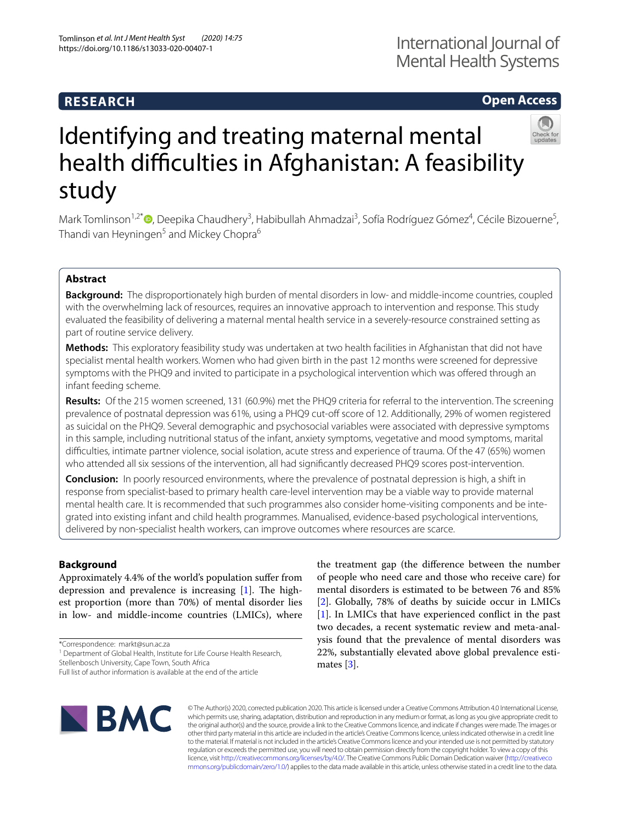## **RESEARCH**

# International Journal of Mental Health Systems

## **Open Access**



# Identifying and treating maternal mental health difficulties in Afghanistan: A feasibility study

Mark Tomlinson<sup>1,2[\\*](http://orcid.org/0000-0001-5846-3444)</sup>®, Deepika Chaudhery<sup>3</sup>, Habibullah Ahmadzai<sup>3</sup>, Sofía Rodríguez Gómez<sup>4</sup>, Cécile Bizouerne<sup>5</sup>, Thandi van Heyningen<sup>5</sup> and Mickey Chopra<sup>6</sup>

## **Abstract**

**Background:** The disproportionately high burden of mental disorders in low- and middle-income countries, coupled with the overwhelming lack of resources, requires an innovative approach to intervention and response. This study evaluated the feasibility of delivering a maternal mental health service in a severely-resource constrained setting as part of routine service delivery.

**Methods:** This exploratory feasibility study was undertaken at two health facilities in Afghanistan that did not have specialist mental health workers. Women who had given birth in the past 12 months were screened for depressive symptoms with the PHQ9 and invited to participate in a psychological intervention which was ofered through an infant feeding scheme.

**Results:** Of the 215 women screened, 131 (60.9%) met the PHQ9 criteria for referral to the intervention. The screening prevalence of postnatal depression was 61%, using a PHQ9 cut-off score of 12. Additionally, 29% of women registered as suicidal on the PHQ9. Several demographic and psychosocial variables were associated with depressive symptoms in this sample, including nutritional status of the infant, anxiety symptoms, vegetative and mood symptoms, marital difficulties, intimate partner violence, social isolation, acute stress and experience of trauma. Of the 47 (65%) women who attended all six sessions of the intervention, all had signifcantly decreased PHQ9 scores post-intervention.

**Conclusion:** In poorly resourced environments, where the prevalence of postnatal depression is high, a shift in response from specialist-based to primary health care-level intervention may be a viable way to provide maternal mental health care. It is recommended that such programmes also consider home-visiting components and be integrated into existing infant and child health programmes. Manualised, evidence-based psychological interventions, delivered by non-specialist health workers, can improve outcomes where resources are scarce.

## **Background**

Approximately 4.4% of the world's population sufer from depression and prevalence is increasing  $[1]$ . The highest proportion (more than 70%) of mental disorder lies in low- and middle-income countries (LMICs), where

\*Correspondence: markt@sun.ac.za

<sup>1</sup> Department of Global Health, Institute for Life Course Health Research,

Stellenbosch University, Cape Town, South Africa

the treatment gap (the diference between the number of people who need care and those who receive care) for mental disorders is estimated to be between 76 and 85% [[2\]](#page-7-1). Globally, 78% of deaths by suicide occur in LMICs [[1\]](#page-7-0). In LMICs that have experienced confict in the past two decades, a recent systematic review and meta-analysis found that the prevalence of mental disorders was 22%, substantially elevated above global prevalence estimates [\[3](#page-7-2)].



© The Author(s) 2020, corrected publication 2020. This article is licensed under a Creative Commons Attribution 4.0 International License, which permits use, sharing, adaptation, distribution and reproduction in any medium or format, as long as you give appropriate credit to the original author(s) and the source, provide a link to the Creative Commons licence, and indicate if changes were made. The images or other third party material in this article are included in the article's Creative Commons licence, unless indicated otherwise in a credit line to the material. If material is not included in the article's Creative Commons licence and your intended use is not permitted by statutory regulation or exceeds the permitted use, you will need to obtain permission directly from the copyright holder. To view a copy of this licence, visit [http://creativecommons.org/licenses/by/4.0/.](http://creativecommons.org/licenses/by/4.0/) The Creative Commons Public Domain Dedication waiver ([http://creativeco](http://creativecommons.org/publicdomain/zero/1.0/) [mmons.org/publicdomain/zero/1.0/](http://creativecommons.org/publicdomain/zero/1.0/)) applies to the data made available in this article, unless otherwise stated in a credit line to the data.

Full list of author information is available at the end of the article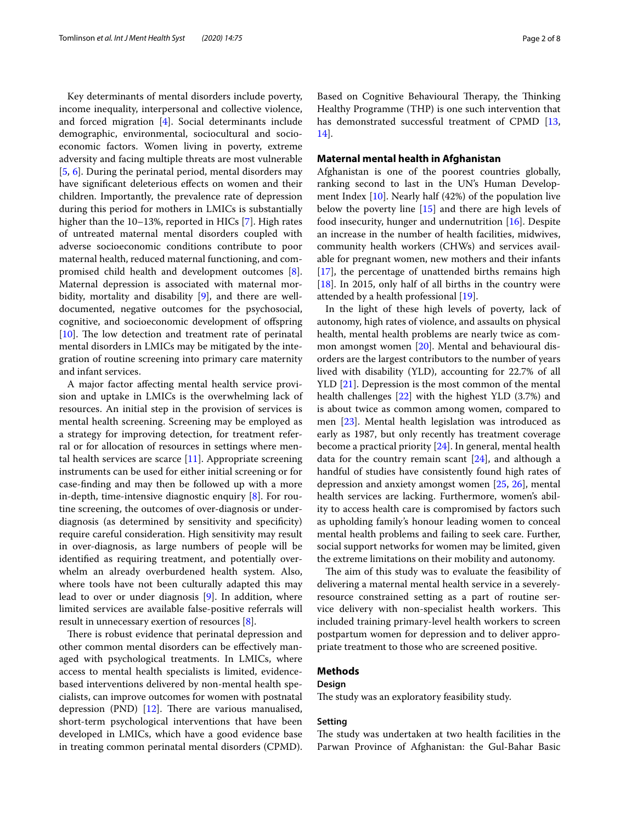Key determinants of mental disorders include poverty, income inequality, interpersonal and collective violence, and forced migration [\[4](#page-7-3)]. Social determinants include demographic, environmental, sociocultural and socioeconomic factors. Women living in poverty, extreme adversity and facing multiple threats are most vulnerable [[5,](#page-7-4) [6\]](#page-7-5). During the perinatal period, mental disorders may have signifcant deleterious efects on women and their children. Importantly, the prevalence rate of depression during this period for mothers in LMICs is substantially higher than the 10–13%, reported in HICs [\[7](#page-7-6)]. High rates of untreated maternal mental disorders coupled with adverse socioeconomic conditions contribute to poor maternal health, reduced maternal functioning, and compromised child health and development outcomes [\[8](#page-7-7)]. Maternal depression is associated with maternal mor-bidity, mortality and disability [\[9](#page-7-8)], and there are welldocumented, negative outcomes for the psychosocial, cognitive, and socioeconomic development of ofspring  $[10]$  $[10]$ . The low detection and treatment rate of perinatal mental disorders in LMICs may be mitigated by the integration of routine screening into primary care maternity and infant services.

A major factor afecting mental health service provision and uptake in LMICs is the overwhelming lack of resources. An initial step in the provision of services is mental health screening. Screening may be employed as a strategy for improving detection, for treatment referral or for allocation of resources in settings where mental health services are scarce  $[11]$  $[11]$ . Appropriate screening instruments can be used for either initial screening or for case-fnding and may then be followed up with a more in-depth, time-intensive diagnostic enquiry [\[8](#page-7-7)]. For routine screening, the outcomes of over-diagnosis or underdiagnosis (as determined by sensitivity and specifcity) require careful consideration. High sensitivity may result in over-diagnosis, as large numbers of people will be identifed as requiring treatment, and potentially overwhelm an already overburdened health system. Also, where tools have not been culturally adapted this may lead to over or under diagnosis [\[9](#page-7-8)]. In addition, where limited services are available false-positive referrals will result in unnecessary exertion of resources [\[8\]](#page-7-7).

There is robust evidence that perinatal depression and other common mental disorders can be efectively managed with psychological treatments. In LMICs, where access to mental health specialists is limited, evidencebased interventions delivered by non-mental health specialists, can improve outcomes for women with postnatal depression (PND)  $[12]$  $[12]$  $[12]$ . There are various manualised, short-term psychological interventions that have been developed in LMICs, which have a good evidence base in treating common perinatal mental disorders (CPMD).

Based on Cognitive Behavioural Therapy, the Thinking Healthy Programme (THP) is one such intervention that has demonstrated successful treatment of CPMD [[13](#page-7-12), [14\]](#page-7-13).

#### **Maternal mental health in Afghanistan**

Afghanistan is one of the poorest countries globally, ranking second to last in the UN's Human Development Index [\[10\]](#page-7-9). Nearly half (42%) of the population live below the poverty line [\[15\]](#page-7-14) and there are high levels of food insecurity, hunger and undernutrition [\[16](#page-7-15)]. Despite an increase in the number of health facilities, midwives, community health workers (CHWs) and services available for pregnant women, new mothers and their infants [[17\]](#page-7-16), the percentage of unattended births remains high [[18\]](#page-7-17). In 2015, only half of all births in the country were attended by a health professional [\[19](#page-7-18)].

In the light of these high levels of poverty, lack of autonomy, high rates of violence, and assaults on physical health, mental health problems are nearly twice as common amongst women [\[20\]](#page-7-19). Mental and behavioural disorders are the largest contributors to the number of years lived with disability (YLD), accounting for 22.7% of all YLD [[21](#page-7-20)]. Depression is the most common of the mental health challenges [\[22\]](#page-7-21) with the highest YLD (3.7%) and is about twice as common among women, compared to men [[23](#page-7-22)]. Mental health legislation was introduced as early as 1987, but only recently has treatment coverage become a practical priority [[24\]](#page-7-23). In general, mental health data for the country remain scant  $[24]$  $[24]$ , and although a handful of studies have consistently found high rates of depression and anxiety amongst women [[25,](#page-7-24) [26\]](#page-7-25), mental health services are lacking. Furthermore, women's ability to access health care is compromised by factors such as upholding family's honour leading women to conceal mental health problems and failing to seek care. Further, social support networks for women may be limited, given the extreme limitations on their mobility and autonomy.

The aim of this study was to evaluate the feasibility of delivering a maternal mental health service in a severelyresource constrained setting as a part of routine service delivery with non-specialist health workers. This included training primary-level health workers to screen postpartum women for depression and to deliver appropriate treatment to those who are screened positive.

#### **Methods**

#### **Design**

The study was an exploratory feasibility study.

#### **Setting**

The study was undertaken at two health facilities in the Parwan Province of Afghanistan: the Gul-Bahar Basic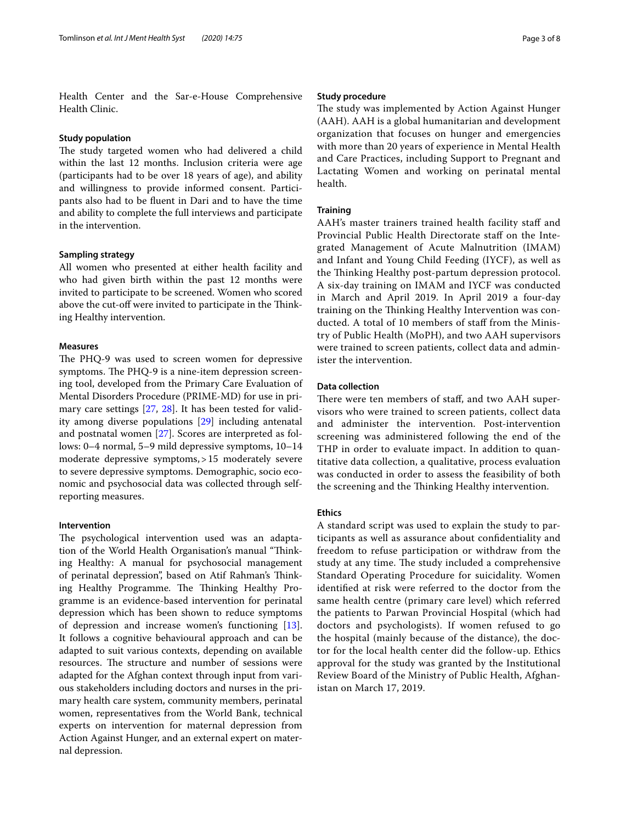Health Center and the Sar-e-House Comprehensive Health Clinic.

#### **Study population**

The study targeted women who had delivered a child within the last 12 months. Inclusion criteria were age (participants had to be over 18 years of age), and ability and willingness to provide informed consent. Participants also had to be fuent in Dari and to have the time and ability to complete the full interviews and participate in the intervention.

#### **Sampling strategy**

All women who presented at either health facility and who had given birth within the past 12 months were invited to participate to be screened. Women who scored above the cut-off were invited to participate in the Thinking Healthy intervention.

#### **Measures**

The PHQ-9 was used to screen women for depressive symptoms. The PHQ-9 is a nine-item depression screening tool, developed from the Primary Care Evaluation of Mental Disorders Procedure (PRIME-MD) for use in primary care settings [[27,](#page-7-26) [28](#page-7-27)]. It has been tested for validity among diverse populations [[29\]](#page-7-28) including antenatal and postnatal women [\[27](#page-7-26)]. Scores are interpreted as follows: 0–4 normal, 5–9 mild depressive symptoms, 10–14 moderate depressive symptoms,>15 moderately severe to severe depressive symptoms. Demographic, socio economic and psychosocial data was collected through selfreporting measures.

#### **Intervention**

The psychological intervention used was an adaptation of the World Health Organisation's manual "Thinking Healthy: A manual for psychosocial management of perinatal depression", based on Atif Rahman's Thinking Healthy Programme. The Thinking Healthy Programme is an evidence-based intervention for perinatal depression which has been shown to reduce symptoms of depression and increase women's functioning [\[13](#page-7-12)]. It follows a cognitive behavioural approach and can be adapted to suit various contexts, depending on available resources. The structure and number of sessions were adapted for the Afghan context through input from various stakeholders including doctors and nurses in the primary health care system, community members, perinatal women, representatives from the World Bank, technical experts on intervention for maternal depression from Action Against Hunger, and an external expert on maternal depression.

#### **Study procedure**

The study was implemented by Action Against Hunger (AAH). AAH is a global humanitarian and development organization that focuses on hunger and emergencies with more than 20 years of experience in Mental Health and Care Practices, including Support to Pregnant and Lactating Women and working on perinatal mental health.

#### **Training**

AAH's master trainers trained health facility staff and Provincial Public Health Directorate staff on the Integrated Management of Acute Malnutrition (IMAM) and Infant and Young Child Feeding (IYCF), as well as the Thinking Healthy post-partum depression protocol. A six-day training on IMAM and IYCF was conducted in March and April 2019. In April 2019 a four-day training on the Thinking Healthy Intervention was conducted. A total of 10 members of staff from the Ministry of Public Health (MoPH), and two AAH supervisors were trained to screen patients, collect data and administer the intervention.

#### **Data collection**

There were ten members of staff, and two AAH supervisors who were trained to screen patients, collect data and administer the intervention. Post-intervention screening was administered following the end of the THP in order to evaluate impact. In addition to quantitative data collection, a qualitative, process evaluation was conducted in order to assess the feasibility of both the screening and the Thinking Healthy intervention.

#### **Ethics**

A standard script was used to explain the study to participants as well as assurance about confdentiality and freedom to refuse participation or withdraw from the study at any time. The study included a comprehensive Standard Operating Procedure for suicidality. Women identifed at risk were referred to the doctor from the same health centre (primary care level) which referred the patients to Parwan Provincial Hospital (which had doctors and psychologists). If women refused to go the hospital (mainly because of the distance), the doctor for the local health center did the follow-up. Ethics approval for the study was granted by the Institutional Review Board of the Ministry of Public Health, Afghanistan on March 17, 2019.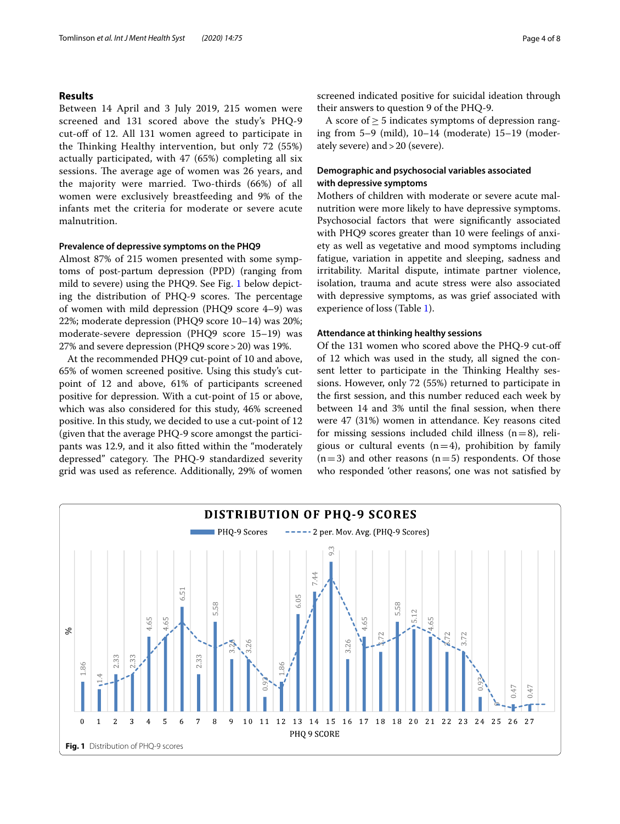#### **Results**

Between 14 April and 3 July 2019, 215 women were screened and 131 scored above the study's PHQ-9 cut-of of 12. All 131 women agreed to participate in the Thinking Healthy intervention, but only 72 (55%) actually participated, with 47 (65%) completing all six sessions. The average age of women was 26 years, and the majority were married. Two-thirds (66%) of all women were exclusively breastfeeding and 9% of the infants met the criteria for moderate or severe acute malnutrition.

#### **Prevalence of depressive symptoms on the PHQ9**

Almost 87% of 215 women presented with some symptoms of post-partum depression (PPD) (ranging from mild to severe) using the PHQ9. See Fig. [1](#page-3-0) below depicting the distribution of PHQ-9 scores. The percentage of women with mild depression (PHQ9 score 4–9) was 22%; moderate depression (PHQ9 score 10–14) was 20%; moderate-severe depression (PHQ9 score 15–19) was 27% and severe depression (PHQ9 score>20) was 19%.

At the recommended PHQ9 cut-point of 10 and above, 65% of women screened positive. Using this study's cutpoint of 12 and above, 61% of participants screened positive for depression. With a cut-point of 15 or above, which was also considered for this study, 46% screened positive. In this study, we decided to use a cut-point of 12 (given that the average PHQ-9 score amongst the participants was 12.9, and it also ftted within the "moderately depressed" category. The PHQ-9 standardized severity grid was used as reference. Additionally, 29% of women screened indicated positive for suicidal ideation through their answers to question 9 of the PHQ-9.

A score of ≥ 5 indicates symptoms of depression ranging from 5–9 (mild), 10–14 (moderate) 15–19 (moderately severe) and>20 (severe).

#### **Demographic and psychosocial variables associated with depressive symptoms**

Mothers of children with moderate or severe acute malnutrition were more likely to have depressive symptoms. Psychosocial factors that were signifcantly associated with PHQ9 scores greater than 10 were feelings of anxiety as well as vegetative and mood symptoms including fatigue, variation in appetite and sleeping, sadness and irritability. Marital dispute, intimate partner violence, isolation, trauma and acute stress were also associated with depressive symptoms, as was grief associated with experience of loss (Table [1](#page-4-0)).

#### **Attendance at thinking healthy sessions**

Of the 131 women who scored above the PHQ-9 cut-of of 12 which was used in the study, all signed the consent letter to participate in the Thinking Healthy sessions. However, only 72 (55%) returned to participate in the frst session, and this number reduced each week by between 14 and 3% until the fnal session, when there were 47 (31%) women in attendance. Key reasons cited for missing sessions included child illness  $(n=8)$ , religious or cultural events  $(n=4)$ , prohibition by family  $(n=3)$  and other reasons  $(n=5)$  respondents. Of those who responded 'other reasons', one was not satisfed by

<span id="page-3-0"></span>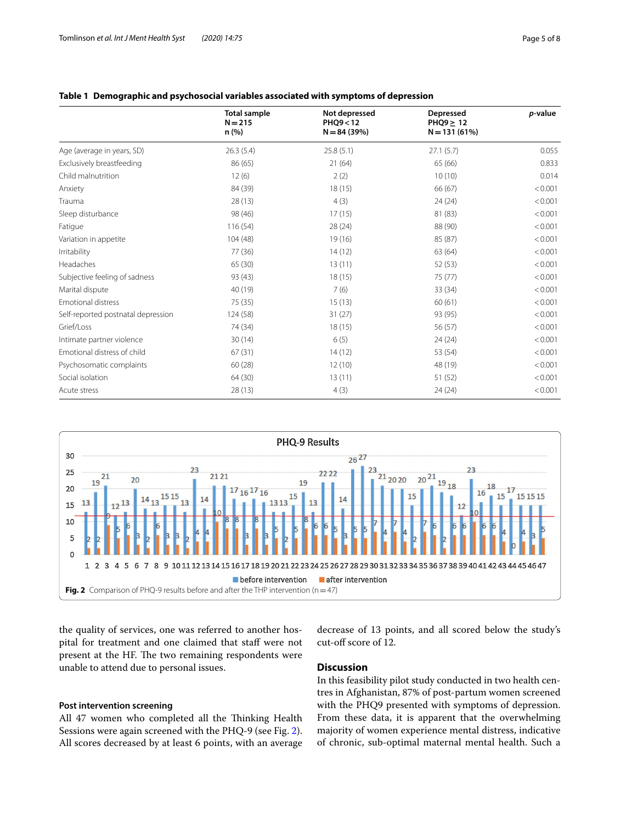#### <span id="page-4-0"></span>**Table 1 Demographic and psychosocial variables associated with symptoms of depression**

|                                    | <b>Total sample</b><br>$N = 215$<br>n (%) | Not depressed<br>PHO9<12<br>$N = 84(39%)$ | Depressed<br>$PHQ9 \geq 12$<br>$N = 131(61%)$ | p-value |
|------------------------------------|-------------------------------------------|-------------------------------------------|-----------------------------------------------|---------|
|                                    |                                           |                                           |                                               |         |
| Age (average in years, SD)         | 26.3(5.4)                                 | 25.8(5.1)                                 | 27.1(5.7)                                     | 0.055   |
| Exclusively breastfeeding          | 86 (65)                                   | 21(64)                                    | 65 (66)                                       | 0.833   |
| Child malnutrition                 | 12(6)                                     | 2(2)                                      | 10(10)                                        | 0.014   |
| Anxiety                            | 84 (39)                                   | 18(15)                                    | 66 (67)                                       | < 0.001 |
| Trauma                             | 28(13)                                    | 4(3)                                      | 24(24)                                        | < 0.001 |
| Sleep disturbance                  | 98 (46)                                   | 17(15)                                    | 81 (83)                                       | < 0.001 |
| Fatigue                            | 116(54)                                   | 28(24)                                    | 88 (90)                                       | < 0.001 |
| Variation in appetite              | 104 (48)                                  | 19(16)                                    | 85 (87)                                       | < 0.001 |
| Irritability                       | 77 (36)                                   | 14(12)                                    | 63(64)                                        | < 0.001 |
| Headaches                          | 65 (30)                                   | 13(11)                                    | 52 (53)                                       | < 0.001 |
| Subjective feeling of sadness      | 93 (43)                                   | 18(15)                                    | 75 (77)                                       | < 0.001 |
| Marital dispute                    | 40 (19)                                   | 7(6)                                      | 33 (34)                                       | < 0.001 |
| <b>Emotional distress</b>          | 75 (35)                                   | 15(13)                                    | 60(61)                                        | < 0.001 |
| Self-reported postnatal depression | 124 (58)                                  | 31(27)                                    | 93 (95)                                       | < 0.001 |
| Grief/Loss                         | 74 (34)                                   | 18(15)                                    | 56 (57)                                       | < 0.001 |
| Intimate partner violence          | 30(14)                                    | 6(5)                                      | 24(24)                                        | < 0.001 |
| Emotional distress of child        | 67(31)                                    | 14(12)                                    | 53 (54)                                       | < 0.001 |
| Psychosomatic complaints           | 60(28)                                    | 12(10)                                    | 48 (19)                                       | < 0.001 |
| Social isolation                   | 64 (30)                                   | 13(11)                                    | 51 (52)                                       | < 0.001 |
| Acute stress                       | 28(13)                                    | 4(3)                                      | 24(24)                                        | < 0.001 |



<span id="page-4-1"></span>the quality of services, one was referred to another hospital for treatment and one claimed that staff were not present at the HF. The two remaining respondents were unable to attend due to personal issues.

#### **Post intervention screening**

All 47 women who completed all the Thinking Health Sessions were again screened with the PHQ-9 (see Fig. [2](#page-4-1)). All scores decreased by at least 6 points, with an average decrease of 13 points, and all scored below the study's cut-off score of 12.

#### **Discussion**

In this feasibility pilot study conducted in two health centres in Afghanistan, 87% of post-partum women screened with the PHQ9 presented with symptoms of depression. From these data, it is apparent that the overwhelming majority of women experience mental distress, indicative of chronic, sub-optimal maternal mental health. Such a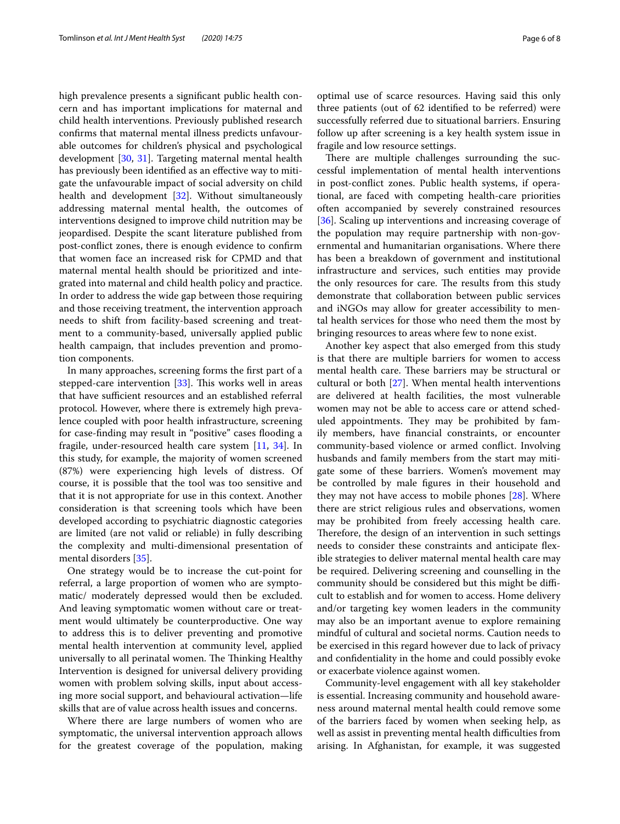high prevalence presents a signifcant public health concern and has important implications for maternal and child health interventions. Previously published research confrms that maternal mental illness predicts unfavourable outcomes for children's physical and psychological development [\[30](#page-7-29), [31\]](#page-7-30). Targeting maternal mental health has previously been identifed as an efective way to mitigate the unfavourable impact of social adversity on child health and development [\[32\]](#page-7-31). Without simultaneously addressing maternal mental health, the outcomes of interventions designed to improve child nutrition may be jeopardised. Despite the scant literature published from post-confict zones, there is enough evidence to confrm that women face an increased risk for CPMD and that maternal mental health should be prioritized and integrated into maternal and child health policy and practice. In order to address the wide gap between those requiring and those receiving treatment, the intervention approach needs to shift from facility-based screening and treatment to a community-based, universally applied public health campaign, that includes prevention and promotion components.

In many approaches, screening forms the frst part of a stepped-care intervention  $[33]$  $[33]$ . This works well in areas that have sufficient resources and an established referral protocol. However, where there is extremely high prevalence coupled with poor health infrastructure, screening for case-fnding may result in "positive" cases fooding a fragile, under-resourced health care system [[11](#page-7-10), [34](#page-7-33)]. In this study, for example, the majority of women screened (87%) were experiencing high levels of distress. Of course, it is possible that the tool was too sensitive and that it is not appropriate for use in this context. Another consideration is that screening tools which have been developed according to psychiatric diagnostic categories are limited (are not valid or reliable) in fully describing the complexity and multi-dimensional presentation of mental disorders [[35\]](#page-7-34).

One strategy would be to increase the cut-point for referral, a large proportion of women who are symptomatic/ moderately depressed would then be excluded. And leaving symptomatic women without care or treatment would ultimately be counterproductive. One way to address this is to deliver preventing and promotive mental health intervention at community level, applied universally to all perinatal women. The Thinking Healthy Intervention is designed for universal delivery providing women with problem solving skills, input about accessing more social support, and behavioural activation—life skills that are of value across health issues and concerns.

Where there are large numbers of women who are symptomatic, the universal intervention approach allows for the greatest coverage of the population, making optimal use of scarce resources. Having said this only three patients (out of 62 identifed to be referred) were successfully referred due to situational barriers. Ensuring follow up after screening is a key health system issue in fragile and low resource settings.

There are multiple challenges surrounding the successful implementation of mental health interventions in post-confict zones. Public health systems, if operational, are faced with competing health-care priorities often accompanied by severely constrained resources [[36\]](#page-7-35). Scaling up interventions and increasing coverage of the population may require partnership with non-governmental and humanitarian organisations. Where there has been a breakdown of government and institutional infrastructure and services, such entities may provide the only resources for care. The results from this study demonstrate that collaboration between public services and iNGOs may allow for greater accessibility to mental health services for those who need them the most by bringing resources to areas where few to none exist.

Another key aspect that also emerged from this study is that there are multiple barriers for women to access mental health care. These barriers may be structural or cultural or both [\[27\]](#page-7-26). When mental health interventions are delivered at health facilities, the most vulnerable women may not be able to access care or attend scheduled appointments. They may be prohibited by family members, have fnancial constraints, or encounter community-based violence or armed confict. Involving husbands and family members from the start may mitigate some of these barriers. Women's movement may be controlled by male fgures in their household and they may not have access to mobile phones [\[28](#page-7-27)]. Where there are strict religious rules and observations, women may be prohibited from freely accessing health care. Therefore, the design of an intervention in such settings needs to consider these constraints and anticipate fexible strategies to deliver maternal mental health care may be required. Delivering screening and counselling in the community should be considered but this might be difficult to establish and for women to access. Home delivery and/or targeting key women leaders in the community may also be an important avenue to explore remaining mindful of cultural and societal norms. Caution needs to be exercised in this regard however due to lack of privacy and confdentiality in the home and could possibly evoke or exacerbate violence against women.

Community-level engagement with all key stakeholder is essential. Increasing community and household awareness around maternal mental health could remove some of the barriers faced by women when seeking help, as well as assist in preventing mental health difficulties from arising. In Afghanistan, for example, it was suggested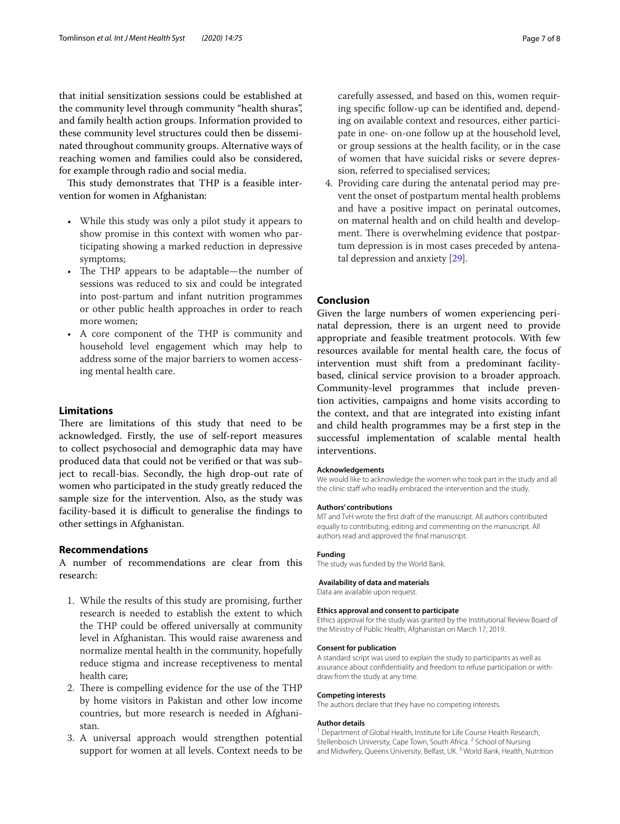that initial sensitization sessions could be established at the community level through community "health shuras", and family health action groups. Information provided to these community level structures could then be disseminated throughout community groups. Alternative ways of reaching women and families could also be considered, for example through radio and social media.

This study demonstrates that THP is a feasible intervention for women in Afghanistan:

- While this study was only a pilot study it appears to show promise in this context with women who participating showing a marked reduction in depressive symptoms;
- The THP appears to be adaptable—the number of sessions was reduced to six and could be integrated into post-partum and infant nutrition programmes or other public health approaches in order to reach more women;
- A core component of the THP is community and household level engagement which may help to address some of the major barriers to women accessing mental health care.

#### **Limitations**

There are limitations of this study that need to be acknowledged. Firstly, the use of self-report measures to collect psychosocial and demographic data may have produced data that could not be verifed or that was subject to recall-bias. Secondly, the high drop-out rate of women who participated in the study greatly reduced the sample size for the intervention. Also, as the study was facility-based it is difficult to generalise the findings to other settings in Afghanistan.

#### **Recommendations**

A number of recommendations are clear from this research:

- 1. While the results of this study are promising, further research is needed to establish the extent to which the THP could be offered universally at community level in Afghanistan. This would raise awareness and normalize mental health in the community, hopefully reduce stigma and increase receptiveness to mental health care;
- 2. There is compelling evidence for the use of the THP by home visitors in Pakistan and other low income countries, but more research is needed in Afghanistan.
- 3. A universal approach would strengthen potential support for women at all levels. Context needs to be

carefully assessed, and based on this, women requiring specifc follow-up can be identifed and, depending on available context and resources, either participate in one- on-one follow up at the household level, or group sessions at the health facility, or in the case of women that have suicidal risks or severe depression, referred to specialised services;

4. Providing care during the antenatal period may prevent the onset of postpartum mental health problems and have a positive impact on perinatal outcomes, on maternal health and on child health and development. There is overwhelming evidence that postpartum depression is in most cases preceded by antenatal depression and anxiety [[29](#page-7-28)].

#### **Conclusion**

Given the large numbers of women experiencing perinatal depression, there is an urgent need to provide appropriate and feasible treatment protocols. With few resources available for mental health care, the focus of intervention must shift from a predominant facilitybased, clinical service provision to a broader approach. Community-level programmes that include prevention activities, campaigns and home visits according to the context, and that are integrated into existing infant and child health programmes may be a frst step in the successful implementation of scalable mental health interventions.

#### **Acknowledgements**

We would like to acknowledge the women who took part in the study and all the clinic staff who readily embraced the intervention and the study.

#### **Authors' contributions**

MT and TvH wrote the frst draft of the manuscript. All authors contributed equally to contributing, editing and commenting on the manuscript. All authors read and approved the fnal manuscript.

#### **Funding**

The study was funded by the World Bank.

### **Availability of data and materials**

Data are available upon request.

#### **Ethics approval and consent to participate**

Ethics approval for the study was granted by the Institutional Review Board of the Ministry of Public Health, Afghanistan on March 17, 2019.

#### **Consent for publication**

A standard script was used to explain the study to participants as well as assurance about confdentiality and freedom to refuse participation or withdraw from the study at any time.

#### **Competing interests**

The authors declare that they have no competing interests.

#### **Author details**

<sup>1</sup> Department of Global Health, Institute for Life Course Health Research, Stellenbosch University, Cape Town, South Africa.<sup>2</sup> School of Nursing and Midwifery, Queens University, Belfast, UK.<sup>3</sup> World Bank, Health, Nutrition